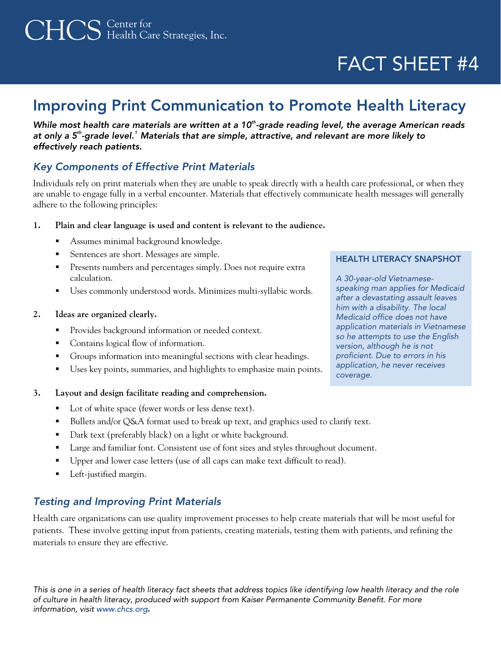# CHCS Center for Health Care Strategies, Inc.

## FACT SHEET #4

### Improving Print Communication to Promote Health Literacy

*While most health care materials are written at a 10th-grade reading level, the average American reads at only a 5th-grade level.[1](#page-1-0) Materials that are simple, attractive, and relevant are more likely to effectively reach patients.* 

### *Key Components of Effective Print Materials*

Individuals rely on print materials when they are unable to speak directly with a health care professional, or when they are unable to engage fully in a verbal encounter. Materials that effectively communicate health messages will generally adhere to the following principles:

#### **1. Plain and clear language is used and content is relevant to the audience.**

- Assumes minimal background knowledge.
- Sentences are short. Messages are simple. HEALTH LITERACY SNAPSHOT
- **Presents numbers and percentages simply.** Does not require extra calculation.
- Uses commonly understood words. Minimizes multi-syllabic words.

#### **2. Ideas are organized clearly.**

- **Provides background information or needed context.**
- Contains logical flow of information.
- Groups information into meaningful sections with clear headings.
- Uses key points, summaries, and highlights to emphasize main points.

#### **3. Layout and design facilitate reading and comprehension.**

- Lot of white space (fewer words or less dense text).
- **Bullets and/or Q&A format used to break up text, and graphics used to clarify text.**
- Dark text (preferably black) on a light or white background.
- **Large and familiar font. Consistent use of font sizes and styles throughout document.**
- Upper and lower case letters (use of all caps can make text difficult to read).
- **Left-justified margin.**

### *Testing and Improving Print Materials*

Health care organizations can use quality improvement processes to help create materials that will be most useful for patients. These involve getting input from patients, creating materials, testing them with patients, and refining the materials to ensure they are effective.

*This is one in a series of health literacy fact sheets that address topics like identifying low health literacy and the role of culture in health literacy, produced with support from Kaiser Permanente Community Benefit. For more information, visit www.chcs.org***.**

*A 30-year-old Vietnamesespeaking man applies for Medicaid after a devastating assault leaves him with a disability. The local Medicaid office does not have application materials in Vietnamese so he attempts to use the English version, although he is not proficient. Due to errors in his application, he never receives coverage.*